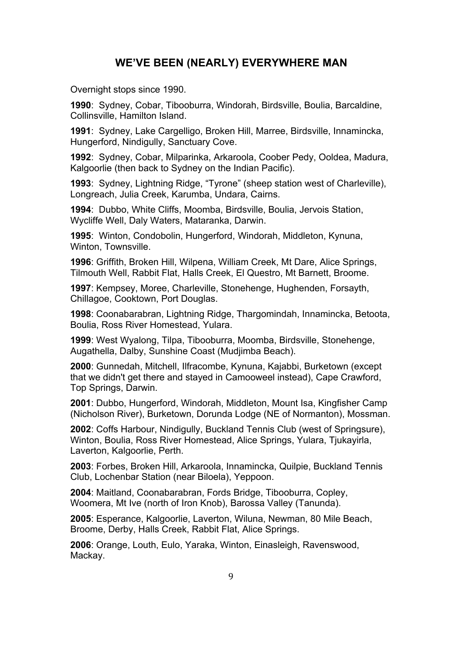## **WE'VE BEEN (NEARLY) EVERYWHERE MAN**

Overnight stops since 1990.

**1990**: Sydney, Cobar, Tibooburra, Windorah, Birdsville, Boulia, Barcaldine, Collinsville, Hamilton Island.

**1991**: Sydney, Lake Cargelligo, Broken Hill, Marree, Birdsville, Innamincka, Hungerford, Nindigully, Sanctuary Cove.

**1992**: Sydney, Cobar, Milparinka, Arkaroola, Coober Pedy, Ooldea, Madura, Kalgoorlie (then back to Sydney on the Indian Pacific).

**1993**: Sydney, Lightning Ridge, "Tyrone" (sheep station west of Charleville), Longreach, Julia Creek, Karumba, Undara, Cairns.

**1994**: Dubbo, White Cliffs, Moomba, Birdsville, Boulia, Jervois Station, Wycliffe Well, Daly Waters, Mataranka, Darwin.

**1995**: Winton, Condobolin, Hungerford, Windorah, Middleton, Kynuna, Winton, Townsville.

**1996**: Griffith, Broken Hill, Wilpena, William Creek, Mt Dare, Alice Springs, Tilmouth Well, Rabbit Flat, Halls Creek, El Questro, Mt Barnett, Broome.

**1997**: Kempsey, Moree, Charleville, Stonehenge, Hughenden, Forsayth, Chillagoe, Cooktown, Port Douglas.

**1998**: Coonabarabran, Lightning Ridge, Thargomindah, Innamincka, Betoota, Boulia, Ross River Homestead, Yulara.

**1999**: West Wyalong, Tilpa, Tibooburra, Moomba, Birdsville, Stonehenge, Augathella, Dalby, Sunshine Coast (Mudjimba Beach).

**2000**: Gunnedah, Mitchell, Ilfracombe, Kynuna, Kajabbi, Burketown (except that we didn't get there and stayed in Camooweel instead), Cape Crawford, Top Springs, Darwin.

**2001**: Dubbo, Hungerford, Windorah, Middleton, Mount Isa, Kingfisher Camp (Nicholson River), Burketown, Dorunda Lodge (NE of Normanton), Mossman.

**2002**: Coffs Harbour, Nindigully, Buckland Tennis Club (west of Springsure), Winton, Boulia, Ross River Homestead, Alice Springs, Yulara, Tjukayirla, Laverton, Kalgoorlie, Perth.

**2003**: Forbes, Broken Hill, Arkaroola, Innamincka, Quilpie, Buckland Tennis Club, Lochenbar Station (near Biloela), Yeppoon.

**2004**: Maitland, Coonabarabran, Fords Bridge, Tibooburra, Copley, Woomera, Mt Ive (north of Iron Knob), Barossa Valley (Tanunda).

**2005**: Esperance, Kalgoorlie, Laverton, Wiluna, Newman, 80 Mile Beach, Broome, Derby, Halls Creek, Rabbit Flat, Alice Springs.

**2006**: Orange, Louth, Eulo, Yaraka, Winton, Einasleigh, Ravenswood, Mackay.